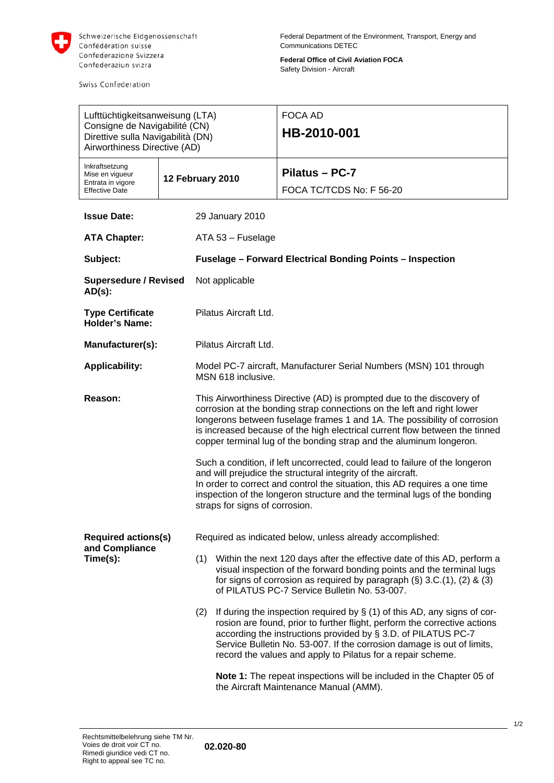

Swiss Confederation

**Federal Office of Civil Aviation FOCA**  Safety Division - Aircraft

| Lufttüchtigkeitsanweisung (LTA)                                                                    |                  |                                                                                                                                                                                                                                                                                                                                                                                   |                                                                                                                                                                                                                                                                                                                                                                    | <b>FOCA AD</b>                                                                                                                                                                                                                                                                    |  |
|----------------------------------------------------------------------------------------------------|------------------|-----------------------------------------------------------------------------------------------------------------------------------------------------------------------------------------------------------------------------------------------------------------------------------------------------------------------------------------------------------------------------------|--------------------------------------------------------------------------------------------------------------------------------------------------------------------------------------------------------------------------------------------------------------------------------------------------------------------------------------------------------------------|-----------------------------------------------------------------------------------------------------------------------------------------------------------------------------------------------------------------------------------------------------------------------------------|--|
| Consigne de Navigabilité (CN)<br>Direttive sulla Navigabilità (DN)<br>Airworthiness Directive (AD) |                  |                                                                                                                                                                                                                                                                                                                                                                                   | HB-2010-001                                                                                                                                                                                                                                                                                                                                                        |                                                                                                                                                                                                                                                                                   |  |
| Inkraftsetzung<br>Mise en vigueur<br>Entrata in vigore                                             | 12 February 2010 |                                                                                                                                                                                                                                                                                                                                                                                   |                                                                                                                                                                                                                                                                                                                                                                    | Pilatus - PC-7                                                                                                                                                                                                                                                                    |  |
| <b>Effective Date</b>                                                                              |                  |                                                                                                                                                                                                                                                                                                                                                                                   |                                                                                                                                                                                                                                                                                                                                                                    | FOCA TC/TCDS No: F 56-20                                                                                                                                                                                                                                                          |  |
| <b>Issue Date:</b>                                                                                 |                  | 29 January 2010                                                                                                                                                                                                                                                                                                                                                                   |                                                                                                                                                                                                                                                                                                                                                                    |                                                                                                                                                                                                                                                                                   |  |
| <b>ATA Chapter:</b>                                                                                |                  | ATA 53 - Fuselage                                                                                                                                                                                                                                                                                                                                                                 |                                                                                                                                                                                                                                                                                                                                                                    |                                                                                                                                                                                                                                                                                   |  |
| Subject:                                                                                           |                  | <b>Fuselage - Forward Electrical Bonding Points - Inspection</b>                                                                                                                                                                                                                                                                                                                  |                                                                                                                                                                                                                                                                                                                                                                    |                                                                                                                                                                                                                                                                                   |  |
| <b>Supersedure / Revised</b><br>$AD(s)$ :                                                          |                  | Not applicable                                                                                                                                                                                                                                                                                                                                                                    |                                                                                                                                                                                                                                                                                                                                                                    |                                                                                                                                                                                                                                                                                   |  |
| <b>Type Certificate</b><br><b>Holder's Name:</b>                                                   |                  | Pilatus Aircraft Ltd.                                                                                                                                                                                                                                                                                                                                                             |                                                                                                                                                                                                                                                                                                                                                                    |                                                                                                                                                                                                                                                                                   |  |
| Manufacturer(s):                                                                                   |                  | Pilatus Aircraft Ltd.                                                                                                                                                                                                                                                                                                                                                             |                                                                                                                                                                                                                                                                                                                                                                    |                                                                                                                                                                                                                                                                                   |  |
| <b>Applicability:</b>                                                                              |                  | Model PC-7 aircraft, Manufacturer Serial Numbers (MSN) 101 through<br>MSN 618 inclusive.                                                                                                                                                                                                                                                                                          |                                                                                                                                                                                                                                                                                                                                                                    |                                                                                                                                                                                                                                                                                   |  |
| Reason:                                                                                            |                  | This Airworthiness Directive (AD) is prompted due to the discovery of<br>corrosion at the bonding strap connections on the left and right lower<br>longerons between fuselage frames 1 and 1A. The possibility of corrosion<br>is increased because of the high electrical current flow between the tinned<br>copper terminal lug of the bonding strap and the aluminum longeron. |                                                                                                                                                                                                                                                                                                                                                                    |                                                                                                                                                                                                                                                                                   |  |
|                                                                                                    |                  | Such a condition, if left uncorrected, could lead to failure of the longeron<br>and will prejudice the structural integrity of the aircraft.<br>In order to correct and control the situation, this AD requires a one time<br>inspection of the longeron structure and the terminal lugs of the bonding<br>straps for signs of corrosion.                                         |                                                                                                                                                                                                                                                                                                                                                                    |                                                                                                                                                                                                                                                                                   |  |
| <b>Required actions(s)</b><br>and Compliance<br>Time(s):                                           |                  | Required as indicated below, unless already accomplished:                                                                                                                                                                                                                                                                                                                         |                                                                                                                                                                                                                                                                                                                                                                    |                                                                                                                                                                                                                                                                                   |  |
|                                                                                                    |                  |                                                                                                                                                                                                                                                                                                                                                                                   |                                                                                                                                                                                                                                                                                                                                                                    | (1) Within the next 120 days after the effective date of this AD, perform a<br>visual inspection of the forward bonding points and the terminal lugs<br>for signs of corrosion as required by paragraph $(\S)$ 3.C.(1), (2) & (3)<br>of PILATUS PC-7 Service Bulletin No. 53-007. |  |
|                                                                                                    |                  | (2)                                                                                                                                                                                                                                                                                                                                                                               | If during the inspection required by $\S$ (1) of this AD, any signs of cor-<br>rosion are found, prior to further flight, perform the corrective actions<br>according the instructions provided by § 3.D. of PILATUS PC-7<br>Service Bulletin No. 53-007. If the corrosion damage is out of limits,<br>record the values and apply to Pilatus for a repair scheme. |                                                                                                                                                                                                                                                                                   |  |
|                                                                                                    |                  | Note 1: The repeat inspections will be included in the Chapter 05 of<br>the Aircraft Maintenance Manual (AMM).                                                                                                                                                                                                                                                                    |                                                                                                                                                                                                                                                                                                                                                                    |                                                                                                                                                                                                                                                                                   |  |